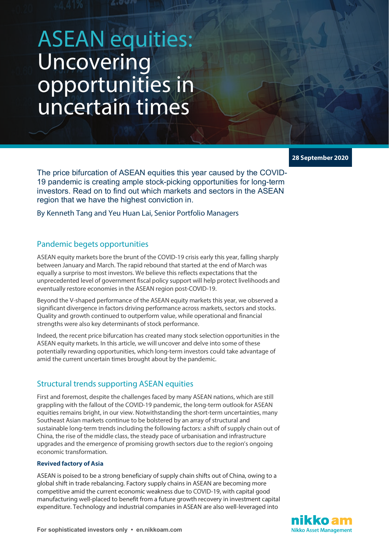# ASEAN equities: **Uncovering** opportunities in uncertain times

**28 September 2020**

The price bifurcation of ASEAN equities this year caused by the COVID-19 pandemic is creating ample stock-picking opportunities for long-term investors. Read on to find out which markets and sectors in the ASEAN region that we have the highest conviction in.

By Kenneth Tang and Yeu Huan Lai, Senior Portfolio Managers

## Pandemic begets opportunities

ASEAN equity markets bore the brunt of the COVID-19 crisis early this year, falling sharply between January and March. The rapid rebound that started at the end of March was equally a surprise to most investors. We believe this reflects expectations that the unprecedented level of government fiscal policy support will help protect livelihoods and eventually restore economies in the ASEAN region post-COVID-19.

Beyond the V-shaped performance of the ASEAN equity markets this year, we observed a significant divergence in factors driving performance across markets, sectors and stocks. Quality and growth continued to outperform value, while operational and financial strengths were also key determinants of stock performance.

Indeed, the recent price bifurcation has created many stock selection opportunities in the ASEAN equity markets. In this article, we will uncover and delve into some of these potentially rewarding opportunities, which long-term investors could take advantage of amid the current uncertain times brought about by the pandemic.

# Structural trends supporting ASEAN equities

First and foremost, despite the challenges faced by many ASEAN nations, which are still grappling with the fallout of the COVID-19 pandemic, the long-term outlook for ASEAN equities remains bright, in our view. Notwithstanding the short-term uncertainties, many Southeast Asian markets continue to be bolstered by an array of structural and sustainable long-term trends including the following factors: a shift of supply chain out of China, the rise of the middle class, the steady pace of urbanisation and infrastructure upgrades and the emergence of promising growth sectors due to the region's ongoing economic transformation.

### **Revived factory of Asia**

ASEAN is poised to be a strong beneficiary of supply chain shifts out of China, owing to a global shift in trade rebalancing. Factory supply chains in ASEAN are becoming more competitive amid the current economic weakness due to COVID-19, with capital good manufacturing well-placed to benefit from a future growth recovery in investment capital expenditure. Technology and industrial companies in ASEAN are also well-leveraged into

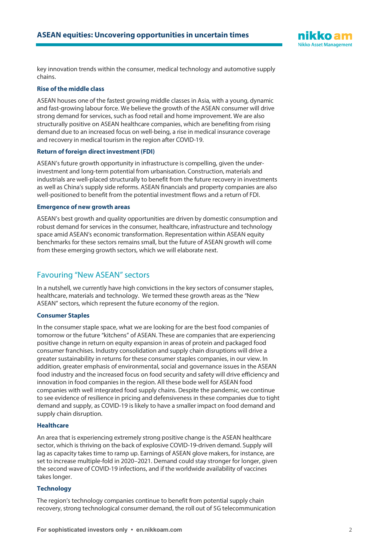

key innovation trends within the consumer, medical technology and automotive supply chains.

#### **Rise of the middle class**

ASEAN houses one of the fastest growing middle classes in Asia, with a young, dynamic and fast-growing labour force. We believe the growth of the ASEAN consumer will drive strong demand for services, such as food retail and home improvement. We are also structurally positive on ASEAN healthcare companies, which are benefiting from rising demand due to an increased focus on well-being, a rise in medical insurance coverage and recovery in medical tourism in the region after COVID-19.

#### **Return of foreign direct investment (FDI)**

ASEAN's future growth opportunity in infrastructure is compelling, given the underinvestment and long-term potential from urbanisation. Construction, materials and industrials are well-placed structurally to benefit from the future recovery in investments as well as China's supply side reforms. ASEAN financials and property companies are also well-positioned to benefit from the potential investment flows and a return of FDI.

#### **Emergence of new growth areas**

ASEAN's best growth and quality opportunities are driven by domestic consumption and robust demand for services in the consumer, healthcare, infrastructure and technology space amid ASEAN's economic transformation. Representation within ASEAN equity benchmarks for these sectors remains small, but the future of ASEAN growth will come from these emerging growth sectors, which we will elaborate next.

## Favouring "New ASEAN" sectors

In a nutshell, we currently have high convictions in the key sectors of consumer staples, healthcare, materials and technology. We termed these growth areas as the "New ASEAN" sectors, which represent the future economy of the region.

#### **Consumer Staples**

In the consumer staple space, what we are looking for are the best food companies of tomorrow or the future "kitchens" of ASEAN. These are companies that are experiencing positive change in return on equity expansion in areas of protein and packaged food consumer franchises. Industry consolidation and supply chain disruptions will drive a greater sustainability in returns for these consumer staples companies, in our view. In addition, greater emphasis of environmental, social and governance issues in the ASEAN food industry and the increased focus on food security and safety will drive efficiency and innovation in food companies in the region. All these bode well for ASEAN food companies with well integrated food supply chains. Despite the pandemic, we continue to see evidence of resilience in pricing and defensiveness in these companies due to tight demand and supply, as COVID-19 is likely to have a smaller impact on food demand and supply chain disruption.

#### **Healthcare**

An area that is experiencing extremely strong positive change is the ASEAN healthcare sector, which is thriving on the back of explosive COVID-19-driven demand. Supply will lag as capacity takes time to ramp up. Earnings of ASEAN glove makers, for instance, are set to increase multiple-fold in 2020–2021. Demand could stay stronger for longer, given the second wave of COVID-19 infections, and if the worldwide availability of vaccines takes longer.

#### **Technology**

The region's technology companies continue to benefit from potential supply chain recovery, strong technological consumer demand, the roll out of 5G telecommunication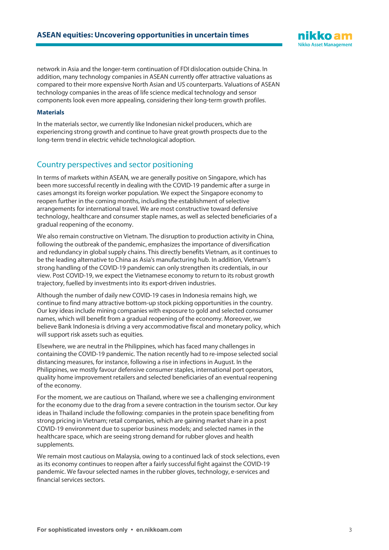network in Asia and the longer-term continuation of FDI dislocation outside China. In addition, many technology companies in ASEAN currently offer attractive valuations as compared to their more expensive North Asian and US counterparts. Valuations of ASEAN technology companies in the areas of life science medical technology and sensor components look even more appealing, considering their long-term growth profiles.

#### **Materials**

In the materials sector, we currently like Indonesian nickel producers, which are experiencing strong growth and continue to have great growth prospects due to the long-term trend in electric vehicle technological adoption.

## Country perspectives and sector positioning

In terms of markets within ASEAN, we are generally positive on Singapore, which has been more successful recently in dealing with the COVID-19 pandemic after a surge in cases amongst its foreign worker population. We expect the Singapore economy to reopen further in the coming months, including the establishment of selective arrangements for international travel. We are most constructive toward defensive technology, healthcare and consumer staple names, as well as selected beneficiaries of a gradual reopening of the economy.

We also remain constructive on Vietnam. The disruption to production activity in China, following the outbreak of the pandemic, emphasizes the importance of diversification and redundancy in global supply chains. This directly benefits Vietnam, as it continues to be the leading alternative to China as Asia's manufacturing hub. In addition, Vietnam's strong handling of the COVID-19 pandemic can only strengthen its credentials, in our view. Post COVID-19, we expect the Vietnamese economy to return to its robust growth trajectory, fuelled by investments into its export-driven industries.

Although the number of daily new COVID-19 cases in Indonesia remains high, we continue to find many attractive bottom-up stock picking opportunities in the country. Our key ideas include mining companies with exposure to gold and selected consumer names, which will benefit from a gradual reopening of the economy. Moreover, we believe Bank Indonesia is driving a very accommodative fiscal and monetary policy, which will support risk assets such as equities.

Elsewhere, we are neutral in the Philippines, which has faced many challenges in containing the COVID-19 pandemic. The nation recently had to re-impose selected social distancing measures, for instance, following a rise in infections in August. In the Philippines, we mostly favour defensive consumer staples, international port operators, quality home improvement retailers and selected beneficiaries of an eventual reopening of the economy.

For the moment, we are cautious on Thailand, where we see a challenging environment for the economy due to the drag from a severe contraction in the tourism sector. Our key ideas in Thailand include the following: companies in the protein space benefiting from strong pricing in Vietnam; retail companies, which are gaining market share in a post COVID-19 environment due to superior business models; and selected names in the healthcare space, which are seeing strong demand for rubber gloves and health supplements.

We remain most cautious on Malaysia, owing to a continued lack of stock selections, even as its economy continues to reopen after a fairly successful fight against the COVID-19 pandemic. We favour selected names in the rubber gloves, technology, e-services and financial services sectors.

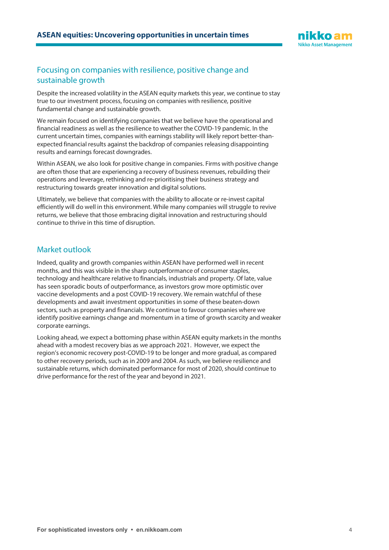

## Focusing on companies with resilience, positive change and sustainable growth

Despite the increased volatility in the ASEAN equity markets this year, we continue to stay true to our investment process, focusing on companies with resilience, positive fundamental change and sustainable growth.

We remain focused on identifying companies that we believe have the operational and financial readiness as well as the resilience to weather the COVID-19 pandemic. In the current uncertain times, companies with earnings stability will likely report better-thanexpected financial results against the backdrop of companies releasing disappointing results and earnings forecast downgrades.

Within ASEAN, we also look for positive change in companies. Firms with positive change are often those that are experiencing a recovery of business revenues, rebuilding their operations and leverage, rethinking and re-prioritising their business strategy and restructuring towards greater innovation and digital solutions.

Ultimately, we believe that companies with the ability to allocate or re-invest capital efficiently will do well in this environment. While many companies will struggle to revive returns, we believe that those embracing digital innovation and restructuring should continue to thrive in this time of disruption.

## Market outlook

Indeed, quality and growth companies within ASEAN have performed well in recent months, and this was visible in the sharp outperformance of consumer staples, technology and healthcare relative to financials, industrials and property. Of late, value has seen sporadic bouts of outperformance, as investors grow more optimistic over vaccine developments and a post COVID-19 recovery. We remain watchful of these developments and await investment opportunities in some of these beaten-down sectors, such as property and financials. We continue to favour companies where we identify positive earnings change and momentum in a time of growth scarcity and weaker corporate earnings.

Looking ahead, we expect a bottoming phase within ASEAN equity markets in the months ahead with a modest recovery bias as we approach 2021. However, we expect the region's economic recovery post-COVID-19 to be longer and more gradual, as compared to other recovery periods, such as in 2009 and 2004. As such, we believe resilience and sustainable returns, which dominated performance for most of 2020, should continue to drive performance for the rest of the year and beyond in 2021.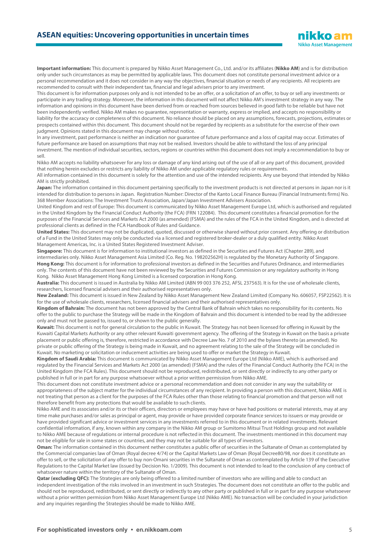## **ASEAN equities: Uncovering opportunities in uncertain times**

**Important information:** This document is prepared by Nikko Asset Management Co., Ltd. and/or its affiliates (**Nikko AM**) and is for distribution only under such circumstances as may be permitted by applicable laws. This document does not constitute personal investment advice or a personal recommendation and it does not consider in any way the objectives, financial situation or needs of any recipients. All recipients are recommended to consult with their independent tax, financial and legal advisers prior to any investment.

This document is for information purposes only and is not intended to be an offer, or a solicitation of an offer, to buy or sell any investments or participate in any trading strategy. Moreover, the information in this document will not affect Nikko AM's investment strategy in any way. The information and opinions in this document have been derived from or reached from sources believed in good faith to be reliable but have not been independently verified. Nikko AM makes no guarantee, representation or warranty, express or implied, and accepts no responsibility or liability for the accuracy or completeness of this document. No reliance should be placed on any assumptions, forecasts, projections, estimates or prospects contained within this document. This document should not be regarded by recipients as a substitute for the exercise of their own judgment. Opinions stated in this document may change without notice.

In any investment, past performance is neither an indication nor guarantee of future performance and a loss of capital may occur. Estimates of future performance are based on assumptions that may not be realised. Investors should be able to withstand the loss of any principal investment. The mention of individual securities, sectors, regions or countries within this document does not imply a recommendation to buy or sell.

Nikko AM accepts no liability whatsoever for any loss or damage of any kind arising out of the use of all or any part of this document, provided that nothing herein excludes or restricts any liability of Nikko AM under applicable regulatory rules or requirements.

All information contained in this document is solely for the attention and use of the intended recipients. Any use beyond that intended by Nikko AM is strictly prohibited.

Japan: The information contained in this document pertaining specifically to the investment products is not directed at persons in Japan nor is it intended for distribution to persons in Japan. Registration Number: Director of the Kanto Local Finance Bureau (Financial Instruments firms) No. 368 Member Associations: The Investment Trusts Association, Japan/Japan Investment Advisers Association.

United Kingdom and rest of Europe: This document is communicated by Nikko Asset Management Europe Ltd, which is authorised and regulated in the United Kingdom by the Financial Conduct Authority (the FCA) (FRN 122084). This document constitutes a financial promotion for the purposes of the Financial Services and Markets Act 2000 (as amended) (FSMA) and the rules of the FCA in the United Kingdom, and is directed at professional clients as defined in the FCA Handbook of Rules and Guidance.

**United States:** This document may not be duplicated, quoted, discussed or otherwise shared without prior consent. Any offering or distribution of a Fund in the United States may only be conducted via a licensed and registered broker-dealer or a duly qualified entity. Nikko Asset Management Americas, Inc. is a United States Registered Investment Adviser.

**Singapore:** This document is for information to institutional investors as defined in the Securities and Futures Act (Chapter 289), and intermediaries only. Nikko Asset Management Asia Limited (Co. Reg. No. 198202562H) is regulated by the Monetary Authority of Singapore. **Hong Kong:** This document is for information to professional investors as defined in the Securities and Futures Ordinance, and intermediaries only. The contents of this document have not been reviewed by the Securities and Futures Commission or any regulatory authority in Hong Kong. Nikko Asset Management Hong Kong Limited is a licensed corporation in Hong Kong.

**Australia:** This document is issued in Australia by Nikko AM Limited (ABN 99 003 376 252, AFSL 237563). It is for the use of wholesale clients, researchers, licensed financial advisers and their authorised representatives only.

**New Zealand:** This document is issued in New Zealand by Nikko Asset Management New Zealand Limited (Company No. 606057, FSP22562). It is for the use of wholesale clients, researchers, licensed financial advisers and their authorised representatives only.

**Kingdom of Bahrain:** The document has not been approved by the Central Bank of Bahrain which takes no responsibility for its contents. No offer to the public to purchase the Strategy will be made in the Kingdom of Bahrain and this document is intended to be read by the addressee only and must not be passed to, issued to, or shown to the public generally.

**Kuwait:** This document is not for general circulation to the public in Kuwait. The Strategy has not been licensed for offering in Kuwait by the Kuwaiti Capital Markets Authority or any other relevant Kuwaiti government agency. The offering of the Strategy in Kuwait on the basis a private placement or public offering is, therefore, restricted in accordance with Decree Law No. 7 of 2010 and the bylaws thereto (as amended). No private or public offering of the Strategy is being made in Kuwait, and no agreement relating to the sale of the Strategy will be concluded in Kuwait. No marketing or solicitation or inducement activities are being used to offer or market the Strategy in Kuwait.

**Kingdom of Saudi Arabia:** This document is communicated by Nikko Asset Management Europe Ltd (Nikko AME), which is authorised and regulated by the Financial Services and Markets Act 2000 (as amended) (FSMA) and the rules of the Financial Conduct Authority (the FCA) in the United Kingdom (the FCA Rules). This document should not be reproduced, redistributed, or sent directly or indirectly to any other party or published in full or in part for any purpose whatsoever without a prior written permission from Nikko AME.

This document does not constitute investment advice or a personal recommendation and does not consider in any way the suitability or appropriateness of the subject matter for the individual circumstances of any recipient. In providing a person with this document, Nikko AME is not treating that person as a client for the purposes of the FCA Rules other than those relating to financial promotion and that person will not therefore benefit from any protections that would be available to such clients.

Nikko AME and its associates and/or its or their officers, directors or employees may have or have had positions or material interests, may at any time make purchases and/or sales as principal or agent, may provide or have provided corporate finance services to issuers or may provide or have provided significant advice or investment services in any investments referred to in this document or in related investments. Relevant confidential information, if any, known within any company in the Nikko AM group or Sumitomo Mitsui Trust Holdings group and not available to Nikko AME because of regulations or internal procedure is not reflected in this document. The investments mentioned in this document may not be eligible for sale in some states or countries, and they may not be suitable for all types of investors.

**Oman:** The information contained in this document nether constitutes a public offer of securities in the Sultanate of Oman as contemplated by the Commercial companies law of Oman (Royal decree 4/74) or the Capital Markets Law of Oman (Royal Decree80/98, nor does it constitute an offer to sell, or the solicitation of any offer to buy non-Omani securities in the Sultanate of Oman as contemplated by Article 139 of the Executive Regulations to the Capital Market law (issued by Decision No. 1/2009). This document is not intended to lead to the conclusion of any contract of whatsoever nature within the territory of the Sultanate of Oman.

**Qatar (excluding QFC):** The Strategies are only being offered to a limited number of investors who are willing and able to conduct an independent investigation of the risks involved in an investment in such Strategies. The document does not constitute an offer to the public and should not be reproduced, redistributed, or sent directly or indirectly to any other party or published in full or in part for any purpose whatsoever without a prior written permission from Nikko Asset Management Europe Ltd (Nikko AME). No transaction will be concluded in your jurisdiction and any inquiries regarding the Strategies should be made to Nikko AME.